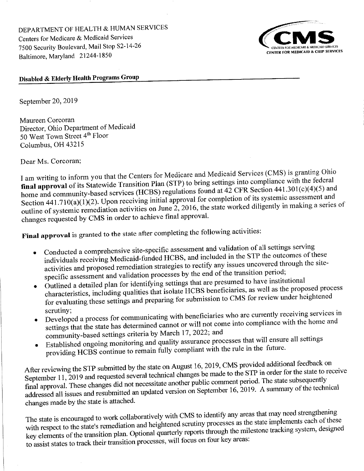DEPARTMENT OF HEALTH & HUMAN SERVICES Centers for Medicare & Medicaid Services 7500 Security Boulevard, Mail Stop S2-14-26 Baltimore, Maryland 21244-1850



### Disabled & Elderly Health Programs Group

September 20, 2019

Maureen Corcoran Director, Ohio Department of Medicaid 50 West Town Street 4th Floor Columbus, OH 43215

Dear Ms. Corcoran:

I am writing to inform you that the Centers for Medicare and Medicaid Services (CMS) is granting Ohio final approval of its Statewide Transition Plan (STP) to bring settings into compliance with the federal home and community-based services (HCBS) regulations found at 42 CFR Section 441.301(c)(4)(5) and Section 441.710(a)(1)(2). Upon receiving initial approval for completion of its systemic assessment and outline of systemic remediation activities on June 2, 2016, the state worked diligently in making a series of changes requested by CMS in order to achieve final approval.

Final approval is granted to the state after completing the following activities:

- Conducted a comprehensive site-specific assessment and validation of all settings serving individuals receiving Medicaid-funded HCBS, and included in the STP the outcomes of these activities and proposed remediation strategies to rectify any issues uncovered through the sitespecific assessment and validation processes by the end of the transition period;
- Outlined a detailed plan for identifying settings that are presumed to have institutional characteristics, including qualities that isolate HCBS beneficiaries, as well as the proposed process for evaluating these settings and preparing for submission to CMS for review under heightened scrutiny:
- Developed a process for communicating with beneficiaries who are currently receiving services in settings that the state has determined cannot or will not come into compliance with the home and community-based settings criteria by March 17, 2022; and
- Established ongoing monitoring and quality assurance processes that will ensure all settings providing HCBS continue to remain fully compliant with the rule in the future.

After reviewing the STP submitted by the state on August 16, 2019, CMS provided additional feedback on September 11, 2019 and requested several technical changes be made to the STP in order for the state to receive final approval. These changes did not necessitate another public comment period. The state subsequently addressed all issues and resubmitted an updated version on September 16, 2019. A summary of the technical changes made by the state is attached.

The state is encouraged to work collaboratively with CMS to identify any areas that may need strengthening with respect to the state's remediation and heightened scrutiny processes as the state implements each of these key elements of the transition plan. Optional quarterly reports through the milestone tracking system, designed to assist states to track their transition processes, will focus on four key areas: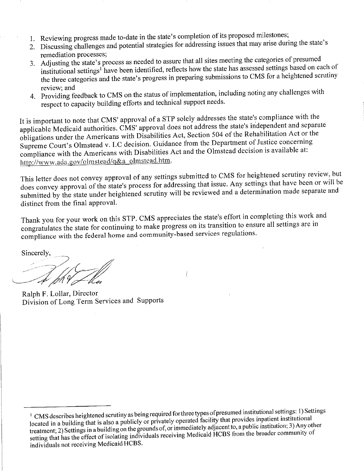- 1. Reviewing progress made to-date in the state's completion of its proposed milestones;
- 2. Discussing challenges and potential strategies for addressing issues that may arise during the state's remediation processes;
- 3. Adjusting the state's process as needed to assure that all sites meeting the categories of presumed institutional settings<sup>1</sup> have been identified, reflects how the state has assessed settings based on each of the three categories and the state's progress in preparing submissions to CMS for a heightened scrutiny review; and
- 4. Providing feedback to CMS on the status of implementation, including noting any challenges with respect to capacity building efforts and technical support needs.

It is important to note that CMS' approval of a STP solely addresses the state's compliance with the applicable Medicaid authorities. CMS' approval does not address the state's independent and separate obligations under the Americans with Disabilities Act, Section 504 of the Rehabilitation Act or the Supreme Court's Olmstead v. LC decision. Guidance from the Department of Justice concerning compliance with the Americans with Disabilities Act and the Olmstead decision is available at: http://www.ada.gov/olmstead/q&a\_olmstead.htm.

This letter does not convey approval of any settings submitted to CMS for heightened scrutiny review, but does convey approval of the state's process for addressing that issue. Any settings that have been or will be submitted by the state under heightened scrutiny will be reviewed and a determination made separate and distinct from the final approval.

Thank you for your work on this STP. CMS appreciates the state's effort in completing this work and congratulates the state for continuing to make progress on its transition to ensure all settings are in compliance with the federal home and community-based services regulations.

Sincerely,

Ralph F. Lollar, Director Division of Long Term Services and Supports

<sup>&</sup>lt;sup>1</sup> CMS describes heightened scrutiny as being required for three types of presumed institutional settings: 1) Settings located in a building that is also a publicly or privately operated facility that provides inpatient institutional treatment; 2) Settings in a building on the grounds of, or immediately adjacent to, a public institution; 3) Any other setting that has the effect of isolating individuals receiving Medicaid HCBS from the broader community of individuals not receiving Medicaid HCBS.